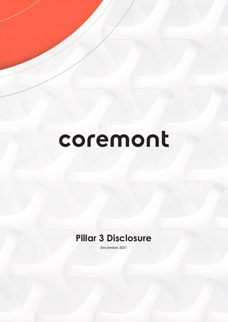# coremont

# Pillar 3 Disclosure

December 2021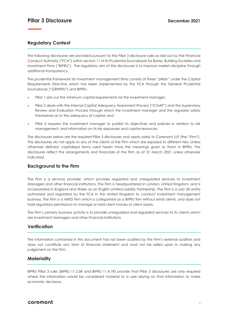# Pillar 3 Disclosure December 2021

# Regulatory Context

The following disclosures are provided pursuant to the Pillar 3 disclosure rules as laid out by the Financial Conduct Authority ("FCA") within section 11 of its Prudential Sourcebook for Banks, Building Societies and Investment Firms ("BIPRU"). The regulatory aim of the disclosures is to improve market discipline through additional transparency.

The prudential framework for investment management firms consists of three "pillars" under the Capital Requirements Directive which has been implemented by the FCA through the General Prudential Sourcebook ("GENPRU") and BIPRU:

- Pillar 1 sets out the minimum capital requirements for the investment manager;
- Pillar 2 deals with the Internal Capital Adequacy Assessment Process ("ICAAP") and the Supervisory Review and Evaluation Process through which the investment manager and the regulator satisfy themselves as to the adequacy of capital; and
- Pillar 3 requires the investment manager to publish its objectives and policies in relation to risk management, and information on its risk exposures and capital resources.

The disclosures below are the required Pillar 3 disclosures and apply solely to Coremont LLP (the "Firm"). The disclosures do not apply to any of the clients of the Firm which are exposed to different risks. Unless otherwise defined, capitalised terms used herein have the meanings given to them in BIPRU. The disclosures reflect the arrangements and financials of the Firm as at 31 March 2021 unless otherwise indicated.

# Background to the Firm

The Firm is a services provider, which provides regulated and unregulated services to Investment Managers and other financial institutions. The Firm is headquartered in London, United Kingdom, and is incorporated in England and Wales as an English Limited Liability Partnership. The Firm is a solo UK entity authorised and regulated by the FCA in the United Kingdom to conduct investment management business. The Firm is a MiFID Firm which is categorised as a BIPRU firm without retail clients, and does not hold regulatory permissions to manage or hold client money or client assets.

The Firm's primary business activity is to provide unregulated and regulated services to its clients which are Investment Managers and other financial institutions.

# **Verification**

The information contained in this document has not been audited by the Firm's external auditors and does not constitute any form of financial statement and must not be relied upon in making any judgement on the Firm.

#### **Materiality**

BIPRU Pillar 3 rules (BIPRU 11.3.5R and BIPRU 11.4.1R) provide that Pillar 3 disclosures are only required where the information would be considered material to a user relying on that information to make economic decisions.

# coremont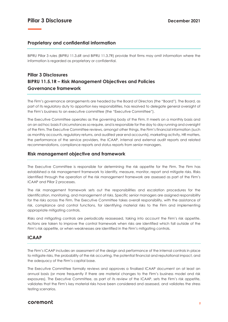# Proprietary and confidential information

BIPRU Pillar 3 rules (BIPRU 11.3.6R and BIPRU 11.3.7R) provide that firms may omit information where the information is regarded as proprietary or confidential.

# Pillar 3 Disclosures BIPRU 11.5.1R – Risk Management Objectives and Policies Governance framework

The Firm's governance arrangements are headed by the Board of Directors (the "Board"). The Board, as part of its regulatory duty to apportion key responsibilities, has resolved to delegate general oversight of the Firm's business to an executive committee (the "Executive Committee").

The Executive Committee operates as the governing body of the Firm. It meets on a monthly basis and on an ad hoc basis if circumstances so require, and is responsible for the day to day running and oversight of the Firm. The Executive Committee reviews, amongst other things, the Firm's financial information (such as monthly accounts, regulatory returns, and audited year end accounts), marketing activity, HR matters, the performance of the service providers, the ICAAP, internal and external audit reports and related recommendations, compliance reports and status reports from senior managers.

#### Risk management objective and framework

The Executive Committee is responsible for determining the risk appetite for the Firm. The Firm has established a risk management framework to identify, measure, monitor, report and mitigate risks. Risks identified through the operation of the risk management framework are assessed as part of the Firm's ICAAP and Pillar 2 processes.

The risk management framework sets out the responsibilities and escalation procedures for the identification, monitoring, and management of risks. Specific senior managers are assigned responsibility for the risks across the Firm. The Executive Committee takes overall responsibility, with the assistance of risk, compliance and control functions, for identifying material risks to the Firm and implementing appropriate mitigating controls.

Risks and mitigating controls are periodically reassessed, taking into account the Firm's risk appetite. Actions are taken to improve the control framework when risks are identified which fall outside of the Firm's risk appetite, or when weaknesses are identified in the Firm's mitigating controls.

# ICAAP

The Firm's ICAAP includes an assessment of the design and performance of the internal controls in place to mitigate risks, the probability of the risk occurring, the potential financial and reputational impact, and the adequacy of the Firm's capital base.

The Executive Committee formally reviews and approves a finalised ICAAP document on at least an annual basis (or more frequently if there are material changes to the Firm's business model and risk exposures). The Executive Committee, as part of its review of the ICAAP, sets the Firm's risk appetite, validates that the Firm's key material risks have been considered and assessed, and validates the stress testing scenarios.

# coremont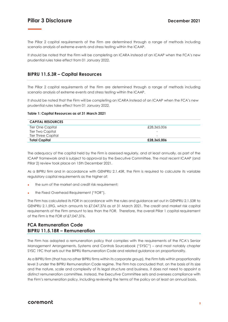# Pillar 3 Disclosure December 2021

The Pillar 2 capital requirements of the Firm are determined through a range of methods including scenario analysis of extreme events and stress testing within the ICAAP.

It should be noted that the Firm will be completing an ICARA instead of an ICAAP when the FCA's new prudential rules take effect from 01 January 2022.

# BIPRU 11.5.3R – Capital Resources

The Pillar 2 capital requirements of the Firm are determined through a range of methods including scenario analysis of extreme events and stress testing within the ICAAP.

It should be noted that the Firm will be completing an ICARA instead of an ICAAP when the FCA's new prudential rules take effect from 01 January 2022.

#### Table 1: Capital Resources as at 31 March 2021

| <b>CAPITAL RESOURCES</b>  |             |
|---------------------------|-------------|
| Tier One Capital          | £28,365,006 |
| Tier Two Capital          |             |
| <b>Tier Three Capital</b> | ۰           |
| <b>Total Capital</b>      | £28,365,006 |

The adequacy of the capital held by the Firm is assessed regularly, and at least annually, as part of the ICAAP framework and is subject to approval by the Executive Committee. The most recent ICAAP (and Pillar 2) review took place on 15th December 2021.

As a BIPRU firm and in accordance with GENPRU 2.1.45R, the Firm is required to calculate its variable regulatory capital requirements as the higher of:

- the sum of the market and credit risk requirement;
- the Fixed Overhead Requirement ("FOR").

The Firm has calculated its FOR in accordance with the rules and guidance set out in GENPRU 2.1.53R to GENPRU 2.1.59G, which amounts to £7,047,376 as at 31 March 2021. The credit and market risk capital requirements of the Firm amount to less than the FOR. Therefore, the overall Pillar 1 capital requirement of the Firm is the FOR of £7,047,376.

# FCA Remuneration Code BIPRU 11.5.18R – Remuneration

The Firm has adopted a remuneration policy that complies with the requirements of the FCA's Senior Management Arrangements, Systems and Controls Sourcebook ("SYSC") – and most notably chapter SYSC 19C that sets out the BIPRU Remuneration Code and related guidance on proportionality.

As a BIPRU firm (that has no other BIPRU firms within its corporate group), the Firm falls within proportionality level 3 under the BIPRU Remuneration Code regime. The Firm has concluded that, on the basis of its size and the nature, scale and complexity of its legal structure and business, it does not need to appoint a distinct remuneration committee. Instead, the Executive Committee sets and oversees compliance with the Firm's remuneration policy, including reviewing the terms of the policy on at least an annual basis.